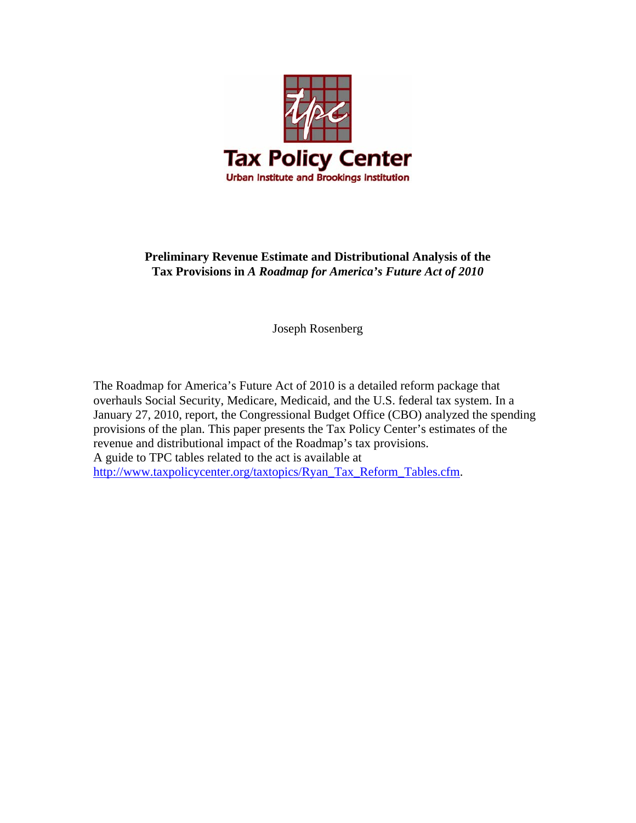

# **Preliminary Revenue Estimate and Distributional Analysis of the Tax Provisions in** *A Roadmap for America's Future Act of 2010*

Joseph Rosenberg

The Roadmap for America's Future Act of 2010 is a detailed reform package that overhauls Social Security, Medicare, Medicaid, and the U.S. federal tax system. In a January 27, 2010, report, the Congressional Budget Office (CBO) analyzed the spending provisions of the plan. This paper presents the Tax Policy Center's estimates of the revenue and distributional impact of the Roadmap's tax provisions. A guide to TPC tables related to the act is available at [http://www.taxpolicycenter.org/taxtopics/Ryan\\_Tax\\_Reform\\_Tables.cfm.](http://www.taxpolicycenter.org/taxtopics/Ryan_Tax_Reform_Tables.cfm)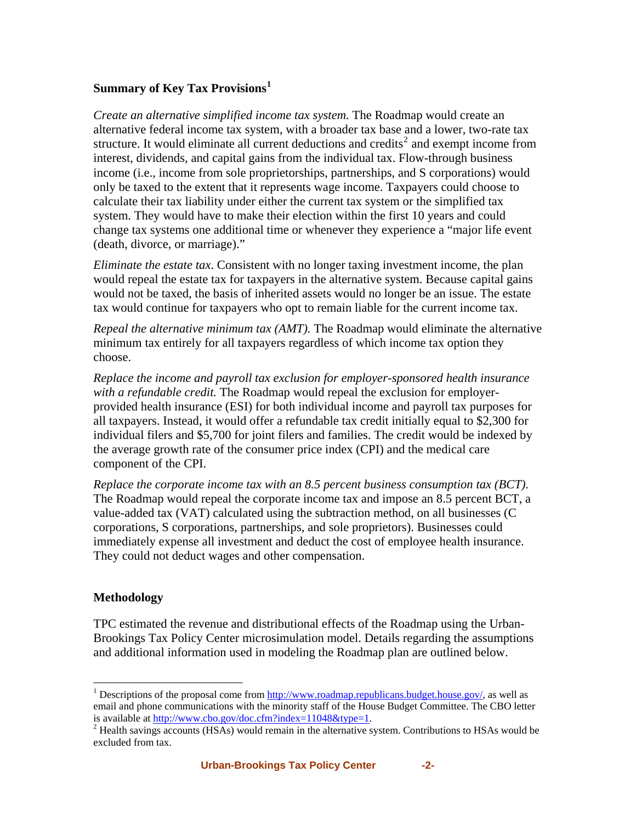## **Summary of Key Tax Provisions[1](#page-1-0)**

*Create an alternative simplified income tax system.* The Roadmap would create an alternative federal income tax system, with a broader tax base and a lower, two-rate tax structure. It would eliminate all current deductions and credits<sup>[2](#page-1-1)</sup> and exempt income from interest, dividends, and capital gains from the individual tax. Flow-through business income (i.e., income from sole proprietorships, partnerships, and S corporations) would only be taxed to the extent that it represents wage income. Taxpayers could choose to calculate their tax liability under either the current tax system or the simplified tax system. They would have to make their election within the first 10 years and could change tax systems one additional time or whenever they experience a "major life event (death, divorce, or marriage)."

*Eliminate the estate tax*. Consistent with no longer taxing investment income, the plan would repeal the estate tax for taxpayers in the alternative system. Because capital gains would not be taxed, the basis of inherited assets would no longer be an issue. The estate tax would continue for taxpayers who opt to remain liable for the current income tax.

*Repeal the alternative minimum tax (AMT).* The Roadmap would eliminate the alternative minimum tax entirely for all taxpayers regardless of which income tax option they choose.

*Replace the income and payroll tax exclusion for employer-sponsored health insurance with a refundable credit.* The Roadmap would repeal the exclusion for employerprovided health insurance (ESI) for both individual income and payroll tax purposes for all taxpayers. Instead, it would offer a refundable tax credit initially equal to \$2,300 for individual filers and \$5,700 for joint filers and families. The credit would be indexed by the average growth rate of the consumer price index (CPI) and the medical care component of the CPI.

*Replace the corporate income tax with an 8.5 percent business consumption tax (BCT).* The Roadmap would repeal the corporate income tax and impose an 8.5 percent BCT, a value-added tax (VAT) calculated using the subtraction method, on all businesses (C corporations, S corporations, partnerships, and sole proprietors). Businesses could immediately expense all investment and deduct the cost of employee health insurance. They could not deduct wages and other compensation.

## **Methodology**

1

TPC estimated the revenue and distributional effects of the Roadmap using the Urban-Brookings Tax Policy Center microsimulation model. Details regarding the assumptions and additional information used in modeling the Roadmap plan are outlined below.

<span id="page-1-0"></span><sup>&</sup>lt;sup>1</sup> Descriptions of the proposal come from  $\frac{http://www.roadmap.republicans.budeget.house.gov/}{$ , as well as email and phone communications with the minority staff of the House Budget Committee. The CBO letter is available at [http://www.cbo.gov/doc.cfm?index=11048&type=1.](http://www.cbo.gov/doc.cfm?index=11048&type=1) 2

<span id="page-1-1"></span> $^2$  Health savings accounts (HSAs) would remain in the alternative system. Contributions to HSAs would be excluded from tax.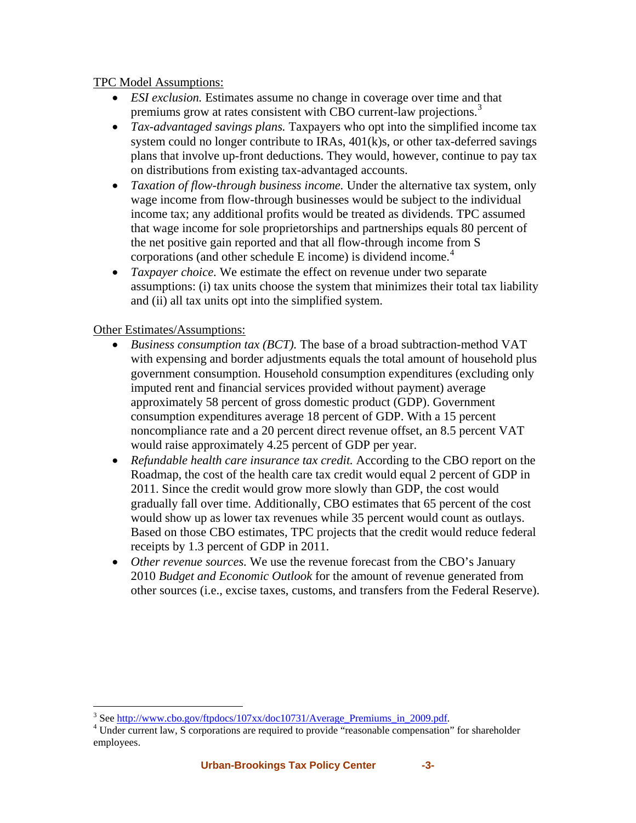## TPC Model Assumptions:

- *ESI exclusion.* Estimates assume no change in coverage over time and that premiums grow at rates consistent with CBO current-law projections.<sup>[3](#page-2-0)</sup>
- *Tax-advantaged savings plans.* Taxpayers who opt into the simplified income tax system could no longer contribute to IRAs, 401(k)s, or other tax-deferred savings plans that involve up-front deductions. They would, however, continue to pay tax on distributions from existing tax-advantaged accounts.
- *Taxation of flow-through business income.* Under the alternative tax system, only wage income from flow-through businesses would be subject to the individual income tax; any additional profits would be treated as dividends. TPC assumed that wage income for sole proprietorships and partnerships equals 80 percent of the net positive gain reported and that all flow-through income from S corporations (and other schedule E income) is dividend income.<sup>[4](#page-2-1)</sup>
- *Taxpayer choice.* We estimate the effect on revenue under two separate assumptions: (i) tax units choose the system that minimizes their total tax liability and (ii) all tax units opt into the simplified system.

## Other Estimates/Assumptions:

- *Business consumption tax (BCT).* The base of a broad subtraction-method VAT with expensing and border adjustments equals the total amount of household plus government consumption. Household consumption expenditures (excluding only imputed rent and financial services provided without payment) average approximately 58 percent of gross domestic product (GDP). Government consumption expenditures average 18 percent of GDP. With a 15 percent noncompliance rate and a 20 percent direct revenue offset, an 8.5 percent VAT would raise approximately 4.25 percent of GDP per year.
- *Refundable health care insurance tax credit.* According to the CBO report on the Roadmap, the cost of the health care tax credit would equal 2 percent of GDP in 2011. Since the credit would grow more slowly than GDP, the cost would gradually fall over time. Additionally, CBO estimates that 65 percent of the cost would show up as lower tax revenues while 35 percent would count as outlays. Based on those CBO estimates, TPC projects that the credit would reduce federal receipts by 1.3 percent of GDP in 2011.
- *Other revenue sources.* We use the revenue forecast from the CBO's January 2010 *Budget and Economic Outlook* for the amount of revenue generated from other sources (i.e., excise taxes, customs, and transfers from the Federal Reserve).

 $3$  See [http://www.cbo.gov/ftpdocs/107xx/doc10731/Average\\_Premiums\\_in\\_2009.pdf.](http://www.cbo.gov/ftpdocs/107xx/doc10731/Average_Premiums_in_2009.pdf)<br> $4$  Under gurrent levels corrections are required to provide "resconship companientien"

<span id="page-2-1"></span><span id="page-2-0"></span><sup>&</sup>lt;sup>4</sup> Under current law, S corporations are required to provide "reasonable compensation" for shareholder employees.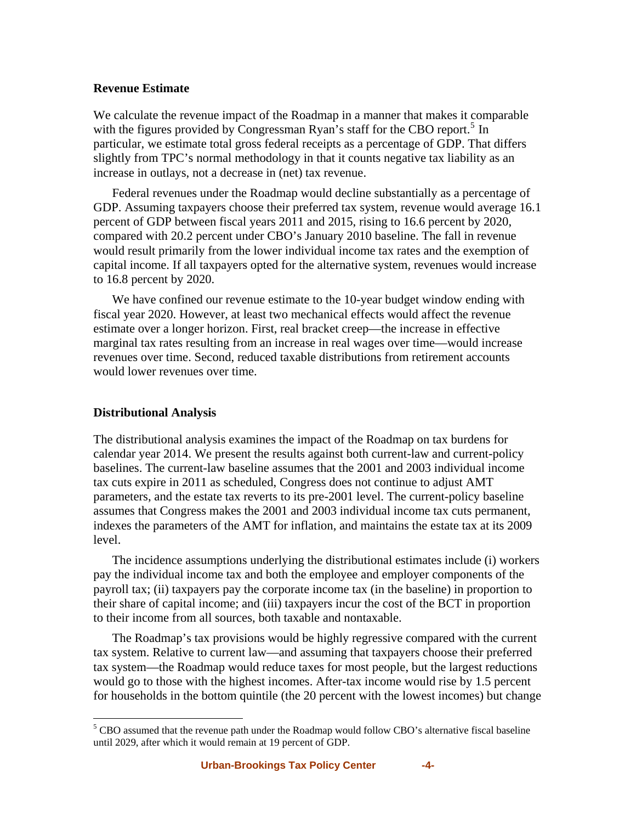#### **Revenue Estimate**

We calculate the revenue impact of the Roadmap in a manner that makes it comparable with the figures provided by Congressman Ryan's staff for the CBO report.<sup>[5](#page-3-0)</sup> In particular, we estimate total gross federal receipts as a percentage of GDP. That differs slightly from TPC's normal methodology in that it counts negative tax liability as an increase in outlays, not a decrease in (net) tax revenue.

Federal revenues under the Roadmap would decline substantially as a percentage of GDP. Assuming taxpayers choose their preferred tax system, revenue would average 16.1 percent of GDP between fiscal years 2011 and 2015, rising to 16.6 percent by 2020, compared with 20.2 percent under CBO's January 2010 baseline. The fall in revenue would result primarily from the lower individual income tax rates and the exemption of capital income. If all taxpayers opted for the alternative system, revenues would increase to 16.8 percent by 2020.

We have confined our revenue estimate to the 10-year budget window ending with fiscal year 2020. However, at least two mechanical effects would affect the revenue estimate over a longer horizon. First, real bracket creep—the increase in effective marginal tax rates resulting from an increase in real wages over time—would increase revenues over time. Second, reduced taxable distributions from retirement accounts would lower revenues over time.

### **Distributional Analysis**

1

The distributional analysis examines the impact of the Roadmap on tax burdens for calendar year 2014. We present the results against both current-law and current-policy baselines. The current-law baseline assumes that the 2001 and 2003 individual income tax cuts expire in 2011 as scheduled, Congress does not continue to adjust AMT parameters, and the estate tax reverts to its pre-2001 level. The current-policy baseline assumes that Congress makes the 2001 and 2003 individual income tax cuts permanent, indexes the parameters of the AMT for inflation, and maintains the estate tax at its 2009 level.

The incidence assumptions underlying the distributional estimates include (i) workers pay the individual income tax and both the employee and employer components of the payroll tax; (ii) taxpayers pay the corporate income tax (in the baseline) in proportion to their share of capital income; and (iii) taxpayers incur the cost of the BCT in proportion to their income from all sources, both taxable and nontaxable.

The Roadmap's tax provisions would be highly regressive compared with the current tax system. Relative to current law—and assuming that taxpayers choose their preferred tax system—the Roadmap would reduce taxes for most people, but the largest reductions would go to those with the highest incomes. After-tax income would rise by 1.5 percent for households in the bottom quintile (the 20 percent with the lowest incomes) but change

<span id="page-3-0"></span><sup>&</sup>lt;sup>5</sup> CBO assumed that the revenue path under the Roadmap would follow CBO's alternative fiscal baseline until 2029, after which it would remain at 19 percent of GDP.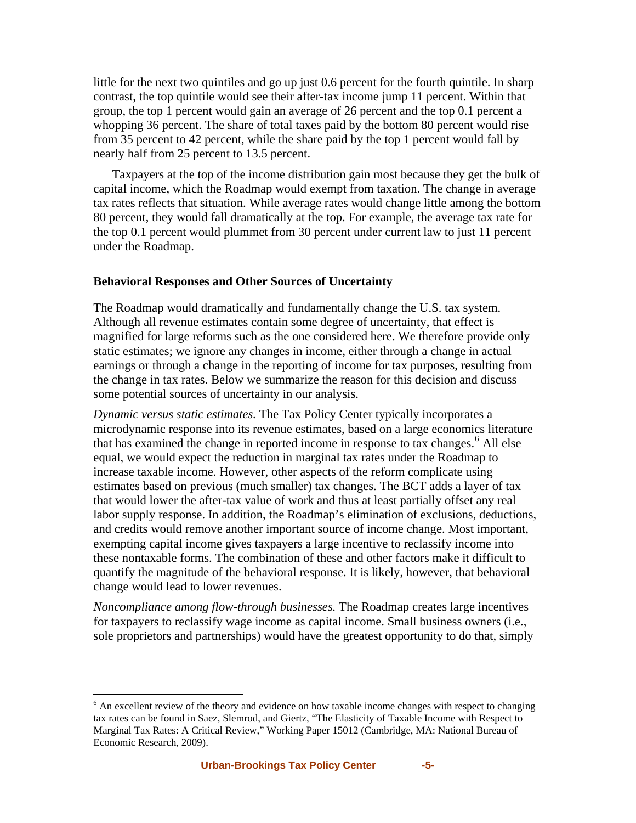little for the next two quintiles and go up just 0.6 percent for the fourth quintile. In sharp contrast, the top quintile would see their after-tax income jump 11 percent. Within that group, the top 1 percent would gain an average of 26 percent and the top 0.1 percent a whopping 36 percent. The share of total taxes paid by the bottom 80 percent would rise from 35 percent to 42 percent, while the share paid by the top 1 percent would fall by nearly half from 25 percent to 13.5 percent.

Taxpayers at the top of the income distribution gain most because they get the bulk of capital income, which the Roadmap would exempt from taxation. The change in average tax rates reflects that situation. While average rates would change little among the bottom 80 percent, they would fall dramatically at the top. For example, the average tax rate for the top 0.1 percent would plummet from 30 percent under current law to just 11 percent under the Roadmap.

#### **Behavioral Responses and Other Sources of Uncertainty**

The Roadmap would dramatically and fundamentally change the U.S. tax system. Although all revenue estimates contain some degree of uncertainty, that effect is magnified for large reforms such as the one considered here. We therefore provide only static estimates; we ignore any changes in income, either through a change in actual earnings or through a change in the reporting of income for tax purposes, resulting from the change in tax rates. Below we summarize the reason for this decision and discuss some potential sources of uncertainty in our analysis.

*Dynamic versus static estimates.* The Tax Policy Center typically incorporates a microdynamic response into its revenue estimates, based on a large economics literature that has examined the change in reported income in response to tax changes.<sup>[6](#page-4-0)</sup> All else equal, we would expect the reduction in marginal tax rates under the Roadmap to increase taxable income. However, other aspects of the reform complicate using estimates based on previous (much smaller) tax changes. The BCT adds a layer of tax that would lower the after-tax value of work and thus at least partially offset any real labor supply response. In addition, the Roadmap's elimination of exclusions, deductions, and credits would remove another important source of income change. Most important, exempting capital income gives taxpayers a large incentive to reclassify income into these nontaxable forms. The combination of these and other factors make it difficult to quantify the magnitude of the behavioral response. It is likely, however, that behavioral change would lead to lower revenues.

*Noncompliance among flow-through businesses.* The Roadmap creates large incentives for taxpayers to reclassify wage income as capital income. Small business owners (i.e., sole proprietors and partnerships) would have the greatest opportunity to do that, simply

<u>.</u>

<span id="page-4-0"></span> $6$  An excellent review of the theory and evidence on how taxable income changes with respect to changing tax rates can be found in Saez, Slemrod, and Giertz, "The Elasticity of Taxable Income with Respect to Marginal Tax Rates: A Critical Review," Working Paper 15012 (Cambridge, MA: National Bureau of Economic Research, 2009).